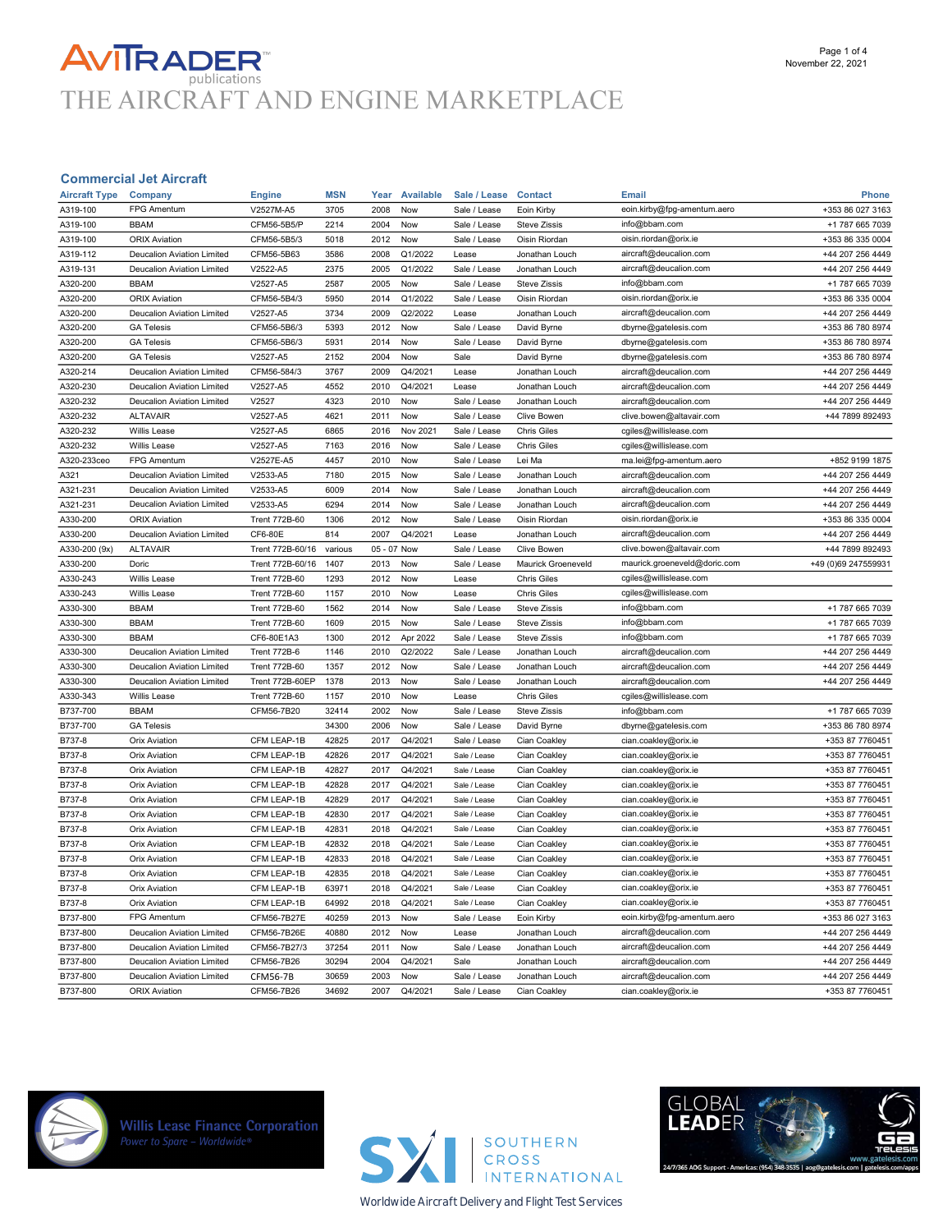# **AVITRADER**<br>THE AIRCRAFT AND ENGINE MARKETPLACE

#### Commercial Jet Aircraft

| <b>Aircraft Type</b> | Company                           | <b>Engine</b>        | <b>MSN</b> | Year         | <b>Available</b> | Sale / Lease | <b>Contact</b>      | <b>Email</b>                                           | Phone               |
|----------------------|-----------------------------------|----------------------|------------|--------------|------------------|--------------|---------------------|--------------------------------------------------------|---------------------|
| A319-100             | FPG Amentum                       | V2527M-A5            | 3705       | 2008         | Now              | Sale / Lease | Eoin Kirby          | eoin.kirby@fpg-amentum.aero                            | +353 86 027 3163    |
| A319-100             | <b>BBAM</b>                       | CFM56-5B5/P          | 2214       | 2004         | Now              | Sale / Lease | <b>Steve Zissis</b> | info@bbam.com                                          | +1 787 665 7039     |
| A319-100             | <b>ORIX Aviation</b>              | CFM56-5B5/3          | 5018       | 2012         | Now              | Sale / Lease | Oisin Riordan       | oisin.riordan@orix.ie                                  | +353 86 335 0004    |
| A319-112             | <b>Deucalion Aviation Limited</b> | CFM56-5B63           | 3586       | 2008         | Q1/2022          | Lease        | Jonathan Louch      | aircraft@deucalion.com                                 | +44 207 256 4449    |
| A319-131             | Deucalion Aviation Limited        | V2522-A5             | 2375       | 2005         | Q1/2022          | Sale / Lease | Jonathan Louch      | aircraft@deucalion.com                                 | +44 207 256 4449    |
| A320-200             | <b>BBAM</b>                       | V2527-A5             | 2587       | 2005         | Now              | Sale / Lease | Steve Zissis        | info@bbam.com                                          | +1 787 665 7039     |
| A320-200             | <b>ORIX Aviation</b>              | CFM56-5B4/3          | 5950       | 2014         | Q1/2022          | Sale / Lease | Oisin Riordan       | oisin.riordan@orix.ie                                  | +353 86 335 0004    |
| A320-200             | <b>Deucalion Aviation Limited</b> | V2527-A5             | 3734       | 2009         | Q2/2022          | Lease        | Jonathan Louch      | aircraft@deucalion.com                                 | +44 207 256 4449    |
| A320-200             | <b>GA Telesis</b>                 | CFM56-5B6/3          | 5393       | 2012         | Now              | Sale / Lease | David Byrne         | dbyrne@gatelesis.com                                   | +353 86 780 8974    |
| A320-200             | <b>GA Telesis</b>                 | CFM56-5B6/3          | 5931       | 2014         | Now              | Sale / Lease | David Byrne         | dbyrne@gatelesis.com                                   | +353 86 780 8974    |
| A320-200             | <b>GA Telesis</b>                 | V2527-A5             | 2152       | 2004         | Now              | Sale         | David Byrne         | dbyrne@gatelesis.com                                   | +353 86 780 8974    |
| A320-214             | <b>Deucalion Aviation Limited</b> | CFM56-584/3          | 3767       | 2009         | Q4/2021          | Lease        | Jonathan Louch      | aircraft@deucalion.com                                 | +44 207 256 4449    |
| A320-230             | Deucalion Aviation Limited        | V2527-A5             | 4552       | 2010         | Q4/2021          | Lease        | Jonathan Louch      | aircraft@deucalion.com                                 | +44 207 256 4449    |
| A320-232             | <b>Deucalion Aviation Limited</b> | V2527                | 4323       | 2010         | Now              | Sale / Lease | Jonathan Louch      | aircraft@deucalion.com                                 | +44 207 256 4449    |
| A320-232             | <b>ALTAVAIR</b>                   | V2527-A5             | 4621       | 2011         | Now              | Sale / Lease | <b>Clive Bowen</b>  | clive.bowen@altavair.com                               | +44 7899 892493     |
| A320-232             | Willis Lease                      | V2527-A5             | 6865       | 2016         | Nov 2021         | Sale / Lease | <b>Chris Giles</b>  | cgiles@willislease.com                                 |                     |
| A320-232             | Willis Lease                      | V2527-A5             | 7163       | 2016         | Now              | Sale / Lease | <b>Chris Giles</b>  | cgiles@willislease.com                                 |                     |
| A320-233ceo          | FPG Amentum                       | V2527E-A5            | 4457       | 2010         | Now              | Sale / Lease | Lei Ma              | ma.lei@fpg-amentum.aero                                | +852 9199 1875      |
| A321                 | <b>Deucalion Aviation Limited</b> | V2533-A5             | 7180       | 2015         | Now              | Sale / Lease | Jonathan Louch      | aircraft@deucalion.com                                 | +44 207 256 4449    |
| A321-231             | Deucalion Aviation Limited        | V2533-A5             | 6009       | 2014         | Now              | Sale / Lease | Jonathan Louch      | aircraft@deucalion.com                                 | +44 207 256 4449    |
| A321-231             | <b>Deucalion Aviation Limited</b> | V2533-A5             | 6294       | 2014         | Now              | Sale / Lease | Jonathan Louch      | aircraft@deucalion.com                                 | +44 207 256 4449    |
| A330-200             | <b>ORIX Aviation</b>              | <b>Trent 772B-60</b> | 1306       | 2012         | Now              | Sale / Lease | Oisin Riordan       | oisin.riordan@orix.ie                                  | +353 86 335 0004    |
| A330-200             | <b>Deucalion Aviation Limited</b> | CF6-80E              | 814        | 2007         | Q4/2021          | Lease        | Jonathan Louch      | aircraft@deucalion.com                                 | +44 207 256 4449    |
|                      |                                   |                      |            |              |                  |              |                     |                                                        | +44 7899 892493     |
| A330-200 (9x)        | <b>ALTAVAIR</b>                   | Trent 772B-60/16     | various    | 05 - 07 Now  |                  | Sale / Lease | Clive Bowen         | clive.bowen@altavair.com                               |                     |
| A330-200<br>A330-243 | Doric                             | Trent 772B-60/16     | 1407       | 2013<br>2012 | Now              | Sale / Lease | Maurick Groeneveld  | maurick.groeneveld@doric.com<br>cgiles@willislease.com | +49 (0)69 247559931 |
|                      | Willis Lease                      | <b>Trent 772B-60</b> | 1293       |              | Now              | Lease        | <b>Chris Giles</b>  |                                                        |                     |
| A330-243             | Willis Lease                      | <b>Trent 772B-60</b> | 1157       | 2010         | Now              | Lease        | <b>Chris Giles</b>  | cgiles@willislease.com                                 |                     |
| A330-300             | <b>BBAM</b>                       | <b>Trent 772B-60</b> | 1562       | 2014         | Now              | Sale / Lease | <b>Steve Zissis</b> | info@bbam.com                                          | +1 787 665 7039     |
| A330-300             | <b>BBAM</b>                       | <b>Trent 772B-60</b> | 1609       | 2015         | Now              | Sale / Lease | <b>Steve Zissis</b> | info@bbam.com                                          | +1 787 665 7039     |
| A330-300             | <b>BBAM</b>                       | CF6-80E1A3           | 1300       | 2012         | Apr 2022         | Sale / Lease | <b>Steve Zissis</b> | info@bbam.com                                          | +1 787 665 7039     |
| A330-300             | Deucalion Aviation Limited        | <b>Trent 772B-6</b>  | 1146       | 2010         | Q2/2022          | Sale / Lease | Jonathan Louch      | aircraft@deucalion.com                                 | +44 207 256 4449    |
| A330-300             | <b>Deucalion Aviation Limited</b> | <b>Trent 772B-60</b> | 1357       | 2012         | Now              | Sale / Lease | Jonathan Louch      | aircraft@deucalion.com                                 | +44 207 256 4449    |
| A330-300             | Deucalion Aviation Limited        | Trent 772B-60EP      | 1378       | 2013         | Now              | Sale / Lease | Jonathan Louch      | aircraft@deucalion.com                                 | +44 207 256 4449    |
| A330-343             | Willis Lease                      | <b>Trent 772B-60</b> | 1157       | 2010         | Now              | Lease        | <b>Chris Giles</b>  | cgiles@willislease.com                                 |                     |
| B737-700             | <b>BBAM</b>                       | CFM56-7B20           | 32414      | 2002         | Now              | Sale / Lease | <b>Steve Zissis</b> | info@bbam.com                                          | +1 787 665 7039     |
| B737-700             | <b>GA Telesis</b>                 |                      | 34300      | 2006         | Now              | Sale / Lease | David Byrne         | dbyrne@gatelesis.com                                   | +353 86 780 8974    |
| B737-8               | <b>Orix Aviation</b>              | CFM LEAP-1B          | 42825      | 2017         | Q4/2021          | Sale / Lease | Cian Coakley        | cian.coakley@orix.ie                                   | +353 87 7760451     |
| B737-8               | <b>Orix Aviation</b>              | CFM LEAP-1B          | 42826      | 2017         | Q4/2021          | Sale / Lease | Cian Coakley        | cian.coakley@orix.ie                                   | +353 87 7760451     |
| B737-8               | Orix Aviation                     | CFM LEAP-1B          | 42827      | 2017         | Q4/2021          | Sale / Lease | Cian Coakley        | cian.coakley@orix.ie                                   | +353 87 7760451     |
| B737-8               | <b>Orix Aviation</b>              | CFM LEAP-1B          | 42828      | 2017         | Q4/2021          | Sale / Lease | Cian Coakley        | cian.coakley@orix.ie                                   | +353 87 7760451     |
| B737-8               | <b>Orix Aviation</b>              | CFM LEAP-1B          | 42829      | 2017         | Q4/2021          | Sale / Lease | Cian Coakley        | cian.coakley@orix.ie                                   | +353 87 7760451     |
| B737-8               | <b>Orix Aviation</b>              | CFM LEAP-1B          | 42830      | 2017         | Q4/2021          | Sale / Lease | Cian Coakley        | cian.coakley@orix.ie                                   | +353 87 7760451     |
| B737-8               | <b>Orix Aviation</b>              | CFM LEAP-1B          | 42831      | 2018         | Q4/2021          | Sale / Lease | Cian Coakley        | cian.coakley@orix.ie                                   | +353 87 7760451     |
| B737-8               | <b>Orix Aviation</b>              | CFM LEAP-1B          | 42832      | 2018         | Q4/2021          | Sale / Lease | Cian Coakley        | cian.coakley@orix.ie                                   | +353 87 7760451     |
| B737-8               | <b>Orix Aviation</b>              | CFM LEAP-1B          | 42833      | 2018         | Q4/2021          | Sale / Lease | Cian Coakley        | cian.coakley@orix.ie                                   | +353 87 7760451     |
| B737-8               | <b>Orix Aviation</b>              | CFM LEAP-1B          | 42835      | 2018         | Q4/2021          | Sale / Lease | Cian Coakley        | cian.coakley@orix.ie                                   | +353 87 7760451     |
| B737-8               | <b>Orix Aviation</b>              | CFM LEAP-1B          | 63971      | 2018         | Q4/2021          | Sale / Lease | Cian Coakley        | cian.coakley@orix.ie                                   | +353 87 7760451     |
| B737-8               | <b>Orix Aviation</b>              | CFM LEAP-1B          | 64992      | 2018         | Q4/2021          | Sale / Lease | Cian Coakley        | cian.coakley@orix.ie                                   | +353 87 7760451     |
| B737-800             | FPG Amentum                       | CFM56-7B27E          | 40259      | 2013         | Now              | Sale / Lease | Eoin Kirby          | eoin.kirby@fpg-amentum.aero                            | +353 86 027 3163    |
| B737-800             | Deucalion Aviation Limited        | CFM56-7B26E          | 40880      | 2012         | Now              | Lease        | Jonathan Louch      | aircraft@deucalion.com                                 | +44 207 256 4449    |
| B737-800             | Deucalion Aviation Limited        | CFM56-7B27/3         | 37254      | 2011         | Now              | Sale / Lease | Jonathan Louch      | aircraft@deucalion.com                                 | +44 207 256 4449    |
| B737-800             | <b>Deucalion Aviation Limited</b> | CFM56-7B26           | 30294      | 2004         | Q4/2021          | Sale         | Jonathan Louch      | aircraft@deucalion.com                                 | +44 207 256 4449    |
| B737-800             | <b>Deucalion Aviation Limited</b> | <b>CFM56-7B</b>      | 30659      | 2003         | Now              | Sale / Lease | Jonathan Louch      | aircraft@deucalion.com                                 | +44 207 256 4449    |
| B737-800             | <b>ORIX Aviation</b>              | CFM56-7B26           | 34692      | 2007         | Q4/2021          | Sale / Lease | Cian Coakley        | cian.coakley@orix.ie                                   | +353 87 7760451     |



**Willis Lease Finance Corporation**<br>Power to Spare - Worldwide®



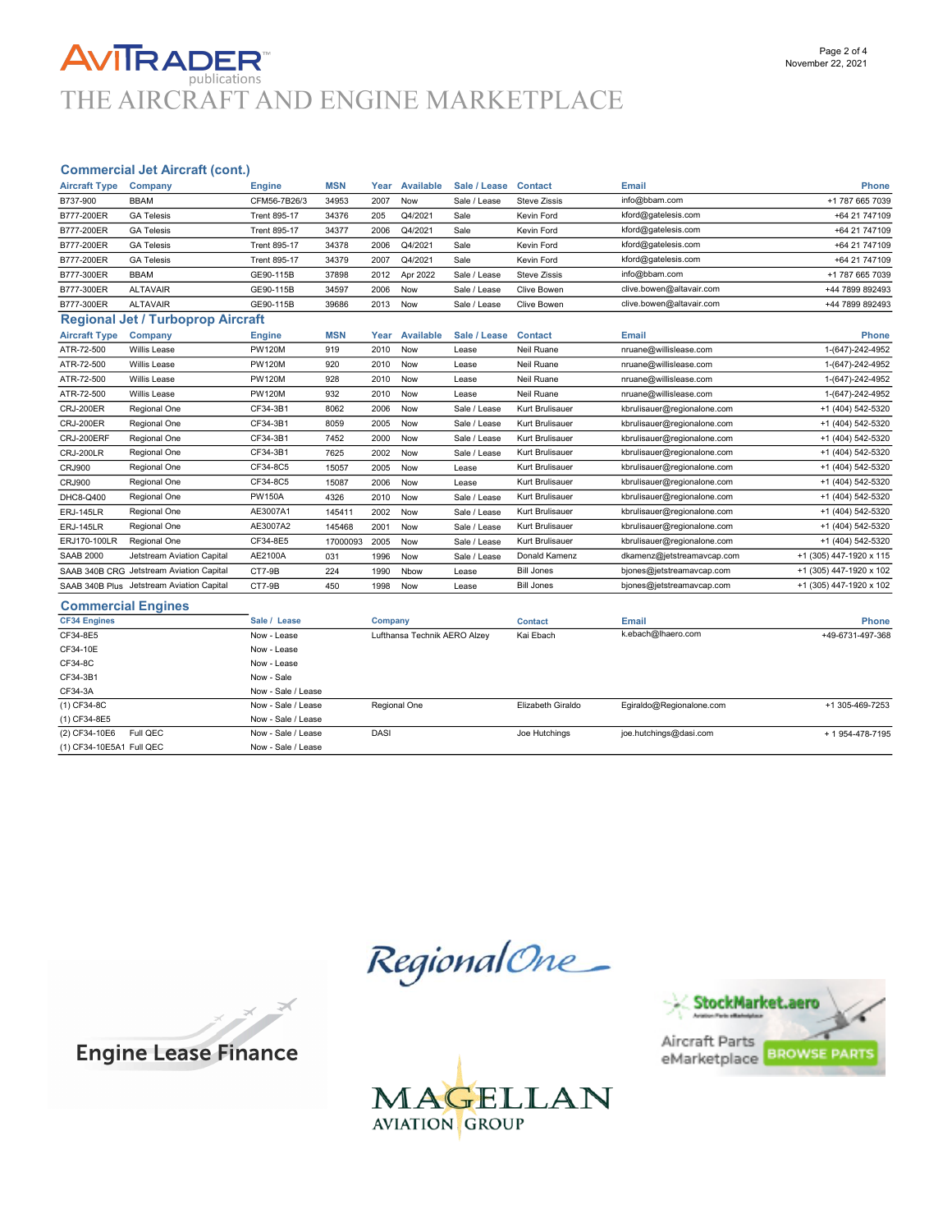### **AVITRADER** publications THE AIRCRAFT AND ENGINE MARKETPLACE

#### Commercial Jet Aircraft (cont.)

| <b>Aircraft Type</b>                     | Company                                   | <b>Engine</b>       | <b>MSN</b> | Year | <b>Available</b> | Sale / Lease | <b>Contact</b>      | Email                       | Phone                   |
|------------------------------------------|-------------------------------------------|---------------------|------------|------|------------------|--------------|---------------------|-----------------------------|-------------------------|
| B737-900                                 | <b>BBAM</b>                               | CFM56-7B26/3        | 34953      | 2007 | Now              | Sale / Lease | <b>Steve Zissis</b> | info@bbam.com               | +1 787 665 7039         |
| B777-200ER                               | <b>GA Telesis</b>                         | <b>Trent 895-17</b> | 34376      | 205  | Q4/2021          | Sale         | Kevin Ford          | kford@gatelesis.com         | +64 21 747109           |
| B777-200ER                               | <b>GA Telesis</b>                         | <b>Trent 895-17</b> | 34377      | 2006 | Q4/2021          | Sale         | Kevin Ford          | kford@gatelesis.com         | +64 21 747109           |
| B777-200ER                               | <b>GA Telesis</b>                         | <b>Trent 895-17</b> | 34378      | 2006 | Q4/2021          | Sale         | Kevin Ford          | kford@gatelesis.com         | +64 21 747109           |
| B777-200ER                               | <b>GA Telesis</b>                         | <b>Trent 895-17</b> | 34379      | 2007 | Q4/2021          | Sale         | Kevin Ford          | kford@gatelesis.com         | +64 21 747109           |
| B777-300ER                               | <b>BBAM</b>                               | GE90-115B           | 37898      | 2012 | Apr 2022         | Sale / Lease | <b>Steve Zissis</b> | info@bbam.com               | +1 787 665 7039         |
| B777-300ER                               | <b>ALTAVAIR</b>                           | GE90-115B           | 34597      | 2006 | Now              | Sale / Lease | Clive Bowen         | clive.bowen@altavair.com    | +44 7899 892493         |
| B777-300ER                               | <b>ALTAVAIR</b>                           | GE90-115B           | 39686      | 2013 | Now              | Sale / Lease | Clive Bowen         | clive.bowen@altavair.com    | +44 7899 892493         |
| <b>Regional Jet / Turboprop Aircraft</b> |                                           |                     |            |      |                  |              |                     |                             |                         |
| <b>Aircraft Type</b>                     | Company                                   | <b>Engine</b>       | <b>MSN</b> | Year | <b>Available</b> | Sale / Lease | <b>Contact</b>      | Email                       | Phone                   |
| ATR-72-500                               | Willis Lease                              | <b>PW120M</b>       | 919        | 2010 | Now              | Lease        | Neil Ruane          | nruane@willislease.com      | 1-(647)-242-4952        |
| ATR-72-500                               | Willis Lease                              | <b>PW120M</b>       | 920        | 2010 | Now              | Lease        | Neil Ruane          | nruane@willislease.com      | 1-(647)-242-4952        |
| ATR-72-500                               | Willis Lease                              | <b>PW120M</b>       | 928        | 2010 | Now              | Lease        | Neil Ruane          | nruane@willislease.com      | 1-(647)-242-4952        |
| ATR-72-500                               | Willis Lease                              | <b>PW120M</b>       | 932        | 2010 | Now              | Lease        | Neil Ruane          | nruane@willislease.com      | 1-(647)-242-4952        |
| <b>CRJ-200ER</b>                         | Regional One                              | CF34-3B1            | 8062       | 2006 | Now              | Sale / Lease | Kurt Brulisauer     | kbrulisauer@regionalone.com | +1 (404) 542-5320       |
| <b>CRJ-200ER</b>                         | Regional One                              | CF34-3B1            | 8059       | 2005 | Now              | Sale / Lease | Kurt Brulisauer     | kbrulisauer@regionalone.com | +1 (404) 542-5320       |
| CRJ-200ERF                               | Regional One                              | CF34-3B1            | 7452       | 2000 | Now              | Sale / Lease | Kurt Brulisauer     | kbrulisauer@regionalone.com | +1 (404) 542-5320       |
| <b>CRJ-200LR</b>                         | Regional One                              | CF34-3B1            | 7625       | 2002 | Now              | Sale / Lease | Kurt Brulisauer     | kbrulisauer@regionalone.com | +1 (404) 542-5320       |
| <b>CRJ900</b>                            | Regional One                              | CF34-8C5            | 15057      | 2005 | Now              | Lease        | Kurt Brulisauer     | kbrulisauer@regionalone.com | +1 (404) 542-5320       |
| <b>CRJ900</b>                            | Regional One                              | CF34-8C5            | 15087      | 2006 | Now              | Lease        | Kurt Brulisauer     | kbrulisauer@regionalone.com | +1 (404) 542-5320       |
| DHC8-Q400                                | Regional One                              | <b>PW150A</b>       | 4326       | 2010 | Now              | Sale / Lease | Kurt Brulisauer     | kbrulisauer@regionalone.com | +1 (404) 542-5320       |
| <b>ERJ-145LR</b>                         | Regional One                              | AE3007A1            | 145411     | 2002 | Now              | Sale / Lease | Kurt Brulisauer     | kbrulisauer@regionalone.com | +1 (404) 542-5320       |
| <b>ERJ-145LR</b>                         | Regional One                              | AE3007A2            | 145468     | 2001 | Now              | Sale / Lease | Kurt Brulisauer     | kbrulisauer@regionalone.com | +1 (404) 542-5320       |
| ERJ170-100LR                             | Regional One                              | CF34-8E5            | 17000093   | 2005 | Now              | Sale / Lease | Kurt Brulisauer     | kbrulisauer@regionalone.com | +1 (404) 542-5320       |
| <b>SAAB 2000</b>                         | Jetstream Aviation Capital                | AE2100A             | 031        | 1996 | Now              | Sale / Lease | Donald Kamenz       | dkamenz@jetstreamavcap.com  | +1 (305) 447-1920 x 115 |
|                                          | SAAB 340B CRG Jetstream Aviation Capital  | CT7-9B              | 224        | 1990 | Nbow             | Lease        | <b>Bill Jones</b>   | bjones@jetstreamavcap.com   | +1 (305) 447-1920 x 102 |
|                                          | SAAB 340B Plus Jetstream Aviation Capital | CT7-9B              | 450        | 1998 | Now              | Lease        | <b>Bill Jones</b>   | bjones@jetstreamavcap.com   | +1 (305) 447-1920 x 102 |
|                                          | <b>Commercial Engines</b>                 |                     |            |      |                  |              |                     |                             |                         |

| Sale / Lease       | Company                      | <b>Contact</b>    | Email                    | <b>Phone</b>     |
|--------------------|------------------------------|-------------------|--------------------------|------------------|
| Now - Lease        | Lufthansa Technik AERO Alzey | Kai Ebach         | k.ebach@lhaero.com       | +49-6731-497-368 |
| Now - Lease        |                              |                   |                          |                  |
| Now - Lease        |                              |                   |                          |                  |
| Now - Sale         |                              |                   |                          |                  |
| Now - Sale / Lease |                              |                   |                          |                  |
| Now - Sale / Lease | Regional One                 | Elizabeth Giraldo | Egiraldo@Regionalone.com | +1 305-469-7253  |
| Now - Sale / Lease |                              |                   |                          |                  |
| Now - Sale / Lease | <b>DASI</b>                  | Joe Hutchings     | joe.hutchings@dasi.com   | + 1 954-478-7195 |
| Now - Sale / Lease |                              |                   |                          |                  |
|                    |                              |                   |                          |                  |

RegionalOne\_

 $\times$   $\rightarrow$ [Engine Lease Finance](https://www.avitrader.com/MP-2018-02-26-P2-ELF) 



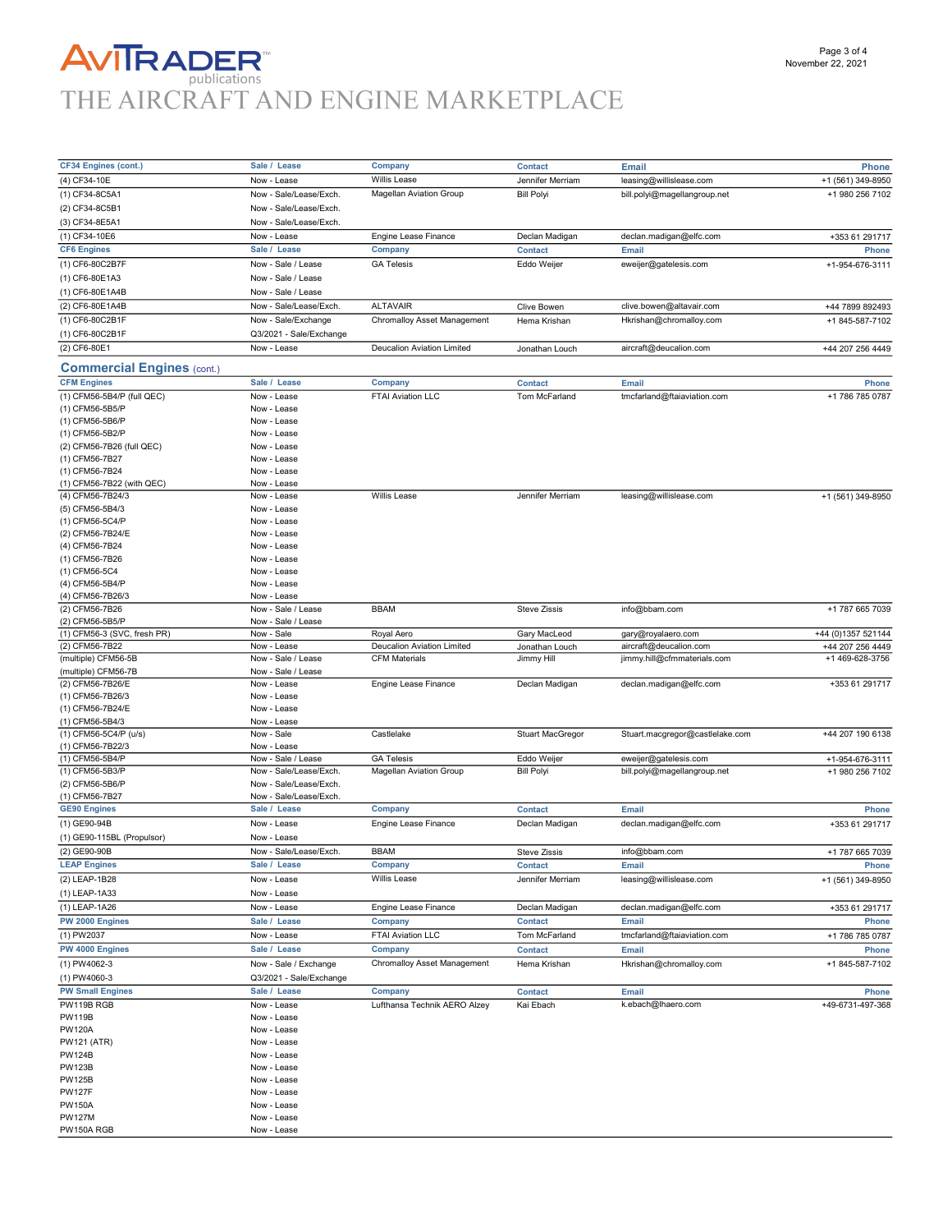## **AVITRADER**<br>THE AIRCRAFT AND ENGINE MARKETPLACE

| <b>CF34 Engines (cont.)</b>       | Sale / Lease               | <b>Company</b>                    | <b>Contact</b>          | <b>Email</b>                    | <b>Phone</b>       |
|-----------------------------------|----------------------------|-----------------------------------|-------------------------|---------------------------------|--------------------|
| (4) CF34-10E                      | Now - Lease                | Willis Lease                      | Jennifer Merriam        | leasing@willislease.com         | +1 (561) 349-8950  |
| (1) CF34-8C5A1                    | Now - Sale/Lease/Exch.     | Magellan Aviation Group           | <b>Bill Polyi</b>       | bill.polyi@magellangroup.net    | +1 980 256 7102    |
| (2) CF34-8C5B1                    | Now - Sale/Lease/Exch.     |                                   |                         |                                 |                    |
| (3) CF34-8E5A1                    | Now - Sale/Lease/Exch.     |                                   |                         |                                 |                    |
|                                   |                            |                                   |                         |                                 |                    |
| (1) CF34-10E6                     | Now - Lease                | Engine Lease Finance              | Declan Madigan          | declan.madigan@elfc.com         | +353 61 291717     |
| <b>CF6 Engines</b>                | Sale / Lease               | Company                           | <b>Contact</b>          | Email                           | <b>Phone</b>       |
| (1) CF6-80C2B7F                   | Now - Sale / Lease         | <b>GA Telesis</b>                 | Eddo Weijer             | eweijer@gatelesis.com           | +1-954-676-3111    |
| (1) CF6-80E1A3                    | Now - Sale / Lease         |                                   |                         |                                 |                    |
| (1) CF6-80E1A4B                   | Now - Sale / Lease         |                                   |                         |                                 |                    |
| (2) CF6-80E1A4B                   | Now - Sale/Lease/Exch.     | <b>ALTAVAIR</b>                   | Clive Bowen             | clive.bowen@altavair.com        | +44 7899 892493    |
| (1) CF6-80C2B1F                   | Now - Sale/Exchange        | Chromalloy Asset Management       | Hema Krishan            | Hkrishan@chromalloy.com         | +1 845-587-7102    |
|                                   |                            |                                   |                         |                                 |                    |
| (1) CF6-80C2B1F                   | Q3/2021 - Sale/Exchange    |                                   |                         |                                 |                    |
| (2) CF6-80E1                      | Now - Lease                | Deucalion Aviation Limited        | Jonathan Louch          | aircraft@deucalion.com          | +44 207 256 4449   |
| <b>Commercial Engines (cont.)</b> |                            |                                   |                         |                                 |                    |
| <b>CFM Engines</b>                | Sale / Lease               | Company                           | <b>Contact</b>          | Email                           | <b>Phone</b>       |
| (1) CFM56-5B4/P (full QEC)        | Now - Lease                | <b>FTAI Aviation LLC</b>          | Tom McFarland           | tmcfarland@ftaiaviation.com     | +1 786 785 0787    |
|                                   |                            |                                   |                         |                                 |                    |
| (1) CFM56-5B5/P                   | Now - Lease                |                                   |                         |                                 |                    |
| (1) CFM56-5B6/P                   | Now - Lease                |                                   |                         |                                 |                    |
| (1) CFM56-5B2/P                   | Now - Lease                |                                   |                         |                                 |                    |
| (2) CFM56-7B26 (full QEC)         | Now - Lease                |                                   |                         |                                 |                    |
| (1) CFM56-7B27                    | Now - Lease                |                                   |                         |                                 |                    |
| (1) CFM56-7B24                    | Now - Lease                |                                   |                         |                                 |                    |
| (1) CFM56-7B22 (with QEC)         | Now - Lease                |                                   |                         |                                 |                    |
| (4) CFM56-7B24/3                  | Now - Lease                | <b>Willis Lease</b>               | Jennifer Merriam        | leasing@willislease.com         | +1 (561) 349-8950  |
| (5) CFM56-5B4/3                   | Now - Lease                |                                   |                         |                                 |                    |
| (1) CFM56-5C4/P                   | Now - Lease                |                                   |                         |                                 |                    |
| (2) CFM56-7B24/E                  | Now - Lease                |                                   |                         |                                 |                    |
| (4) CFM56-7B24                    | Now - Lease                |                                   |                         |                                 |                    |
| (1) CFM56-7B26                    | Now - Lease                |                                   |                         |                                 |                    |
| (1) CFM56-5C4                     | Now - Lease                |                                   |                         |                                 |                    |
| (4) CFM56-5B4/P                   | Now - Lease                |                                   |                         |                                 |                    |
| (4) CFM56-7B26/3                  | Now - Lease                |                                   |                         |                                 |                    |
| (2) CFM56-7B26                    | Now - Sale / Lease         | <b>BBAM</b>                       | <b>Steve Zissis</b>     | info@bbam.com                   | +1 787 665 7039    |
| (2) CFM56-5B5/P                   | Now - Sale / Lease         |                                   |                         |                                 |                    |
| (1) CFM56-3 (SVC, fresh PR)       | Now - Sale                 | Royal Aero                        | Gary MacLeod            | gary@royalaero.com              | +44 (0)1357 521144 |
| (2) CFM56-7B22                    | Now - Lease                | <b>Deucalion Aviation Limited</b> | Jonathan Louch          | aircraft@deucalion.com          | +44 207 256 4449   |
| (multiple) CFM56-5B               | Now - Sale / Lease         | <b>CFM Materials</b>              | Jimmy Hill              | jimmy.hill@cfmmaterials.com     | +1 469-628-3756    |
| (multiple) CFM56-7B               | Now - Sale / Lease         |                                   |                         |                                 |                    |
| (2) CFM56-7B26/E                  | Now - Lease                | Engine Lease Finance              | Declan Madigan          | declan.madigan@elfc.com         | +353 61 291717     |
|                                   | Now - Lease                |                                   |                         |                                 |                    |
|                                   |                            |                                   |                         |                                 |                    |
| (1) CFM56-7B26/3                  |                            |                                   |                         |                                 |                    |
| (1) CFM56-7B24/E                  | Now - Lease                |                                   |                         |                                 |                    |
| (1) CFM56-5B4/3                   | Now - Lease                |                                   |                         |                                 |                    |
| (1) CFM56-5C4/P (u/s)             | Now - Sale                 | Castlelake                        | <b>Stuart MacGregor</b> | Stuart.macgregor@castlelake.com | +44 207 190 6138   |
| (1) CFM56-7B22/3                  | Now - Lease                |                                   |                         |                                 |                    |
| (1) CFM56-5B4/P                   | Now - Sale / Lease         | <b>GA Telesis</b>                 | Eddo Weijer             | eweijer@gatelesis.com           | +1-954-676-3111    |
| (1) CFM56-5B3/P                   | Now - Sale/Lease/Exch.     | <b>Magellan Aviation Group</b>    | <b>Bill Polyi</b>       | bill.polyi@magellangroup.net    | +1 980 256 7102    |
| (2) CFM56-5B6/P                   | Now - Sale/Lease/Exch.     |                                   |                         |                                 |                    |
| (1) CFM56-7B27                    | Now - Sale/Lease/Exch.     |                                   |                         |                                 |                    |
| <b>GE90 Engines</b>               | Sale / Lease               | Company                           | <b>Contact</b>          | Email                           | <b>Phone</b>       |
| (1) GE90-94B                      | Now - Lease                | Engine Lease Finance              | Declan Madigan          | declan.madigan@elfc.com         | +353 61 291717     |
| (1) GE90-115BL (Propulsor)        | Now - Lease                |                                   |                         |                                 |                    |
| (2) GE90-90B                      | Now - Sale/Lease/Exch.     | <b>BBAM</b>                       | <b>Steve Zissis</b>     | info@bbam.com                   | +1 787 665 7039    |
| <b>LEAP Engines</b>               | Sale / Lease               | Company                           | <b>Contact</b>          | Email                           | Phone              |
|                                   |                            |                                   |                         |                                 |                    |
| (2) LEAP-1B28                     | Now - Lease                | Willis Lease                      | Jennifer Merriam        | leasing@willislease.com         | +1 (561) 349-8950  |
| (1) LEAP-1A33                     | Now - Lease                |                                   |                         |                                 |                    |
| (1) LEAP-1A26                     | Now - Lease                | Engine Lease Finance              | Declan Madigan          | declan.madigan@elfc.com         | +353 61 291717     |
| PW 2000 Engines                   | Sale / Lease               | <b>Company</b>                    | <b>Contact</b>          | Email                           | <b>Phone</b>       |
| (1) PW2037                        | Now - Lease                | FTAI Aviation LLC                 | Tom McFarland           | tmcfarland@ftaiaviation.com     | +1 786 785 0787    |
| PW 4000 Engines                   | Sale / Lease               | Company                           | <b>Contact</b>          | Email                           | <b>Phone</b>       |
| (1) PW4062-3                      | Now - Sale / Exchange      | Chromalloy Asset Management       | Hema Krishan            | Hkrishan@chromalloy.com         | +1 845-587-7102    |
|                                   |                            |                                   |                         |                                 |                    |
| (1) PW4060-3                      | Q3/2021 - Sale/Exchange    |                                   |                         |                                 |                    |
| <b>PW Small Engines</b>           | Sale / Lease               | Company                           | <b>Contact</b>          | Email                           | <b>Phone</b>       |
| PW119B RGB                        | Now - Lease                | Lufthansa Technik AERO Alzey      | Kai Ebach               | k.ebach@lhaero.com              | +49-6731-497-368   |
| <b>PW119B</b>                     | Now - Lease                |                                   |                         |                                 |                    |
| <b>PW120A</b>                     | Now - Lease                |                                   |                         |                                 |                    |
| <b>PW121 (ATR)</b>                | Now - Lease                |                                   |                         |                                 |                    |
| <b>PW124B</b>                     | Now - Lease                |                                   |                         |                                 |                    |
| <b>PW123B</b>                     | Now - Lease                |                                   |                         |                                 |                    |
| <b>PW125B</b>                     | Now - Lease                |                                   |                         |                                 |                    |
| <b>PW127F</b>                     | Now - Lease                |                                   |                         |                                 |                    |
| <b>PW150A</b>                     | Now - Lease                |                                   |                         |                                 |                    |
| <b>PW127M</b><br>PW150A RGB       | Now - Lease<br>Now - Lease |                                   |                         |                                 |                    |